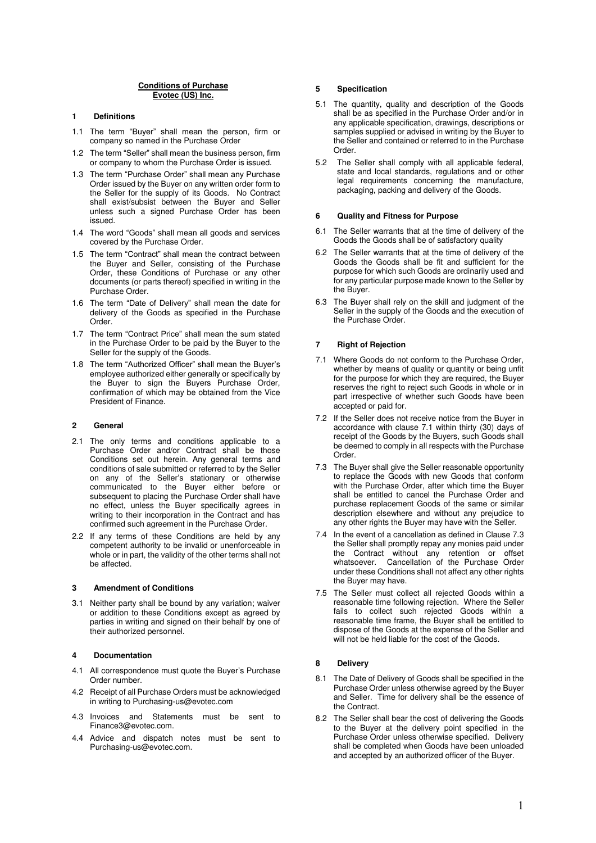### **Conditions of Purchase Evotec (US) Inc.**

# **1 Definitions**

- 1.1 The term "Buyer" shall mean the person, firm or company so named in the Purchase Order
- 1.2 The term "Seller" shall mean the business person, firm or company to whom the Purchase Order is issued.
- 1.3 The term "Purchase Order" shall mean any Purchase Order issued by the Buyer on any written order form to the Seller for the supply of its Goods. No Contract shall exist/subsist between the Buyer and Seller unless such a signed Purchase Order has been issued.
- 1.4 The word "Goods" shall mean all goods and services covered by the Purchase Order.
- 1.5 The term "Contract" shall mean the contract between the Buyer and Seller, consisting of the Purchase Order, these Conditions of Purchase or any other documents (or parts thereof) specified in writing in the Purchase Order.
- 1.6 The term "Date of Delivery" shall mean the date for delivery of the Goods as specified in the Purchase Order.
- 1.7 The term "Contract Price" shall mean the sum stated in the Purchase Order to be paid by the Buyer to the Seller for the supply of the Goods.
- 1.8 The term "Authorized Officer" shall mean the Buyer's employee authorized either generally or specifically by the Buyer to sign the Buyers Purchase Order, confirmation of which may be obtained from the Vice President of Finance.

### **2 General**

- 2.1 The only terms and conditions applicable to a Purchase Order and/or Contract shall be those Conditions set out herein. Any general terms and conditions of sale submitted or referred to by the Seller on any of the Seller's stationary or otherwise communicated to the Buyer either before or subsequent to placing the Purchase Order shall have no effect, unless the Buyer specifically agrees in writing to their incorporation in the Contract and has confirmed such agreement in the Purchase Order.
- 2.2 If any terms of these Conditions are held by any competent authority to be invalid or unenforceable in whole or in part, the validity of the other terms shall not be affected.

### **3 Amendment of Conditions**

3.1 Neither party shall be bound by any variation; waiver or addition to these Conditions except as agreed by parties in writing and signed on their behalf by one of their authorized personnel.

# **4 Documentation**

- 4.1 All correspondence must quote the Buyer's Purchase Order number.
- 4.2 Receipt of all Purchase Orders must be acknowledged in writing to Purchasing-us@evotec.com
- 4.3 Invoices and Statements must be sent to Finance3@evotec.com.
- 4.4 Advice and dispatch notes must be sent to Purchasing-us@evotec.com.

#### **5 Specification**

- 5.1 The quantity, quality and description of the Goods shall be as specified in the Purchase Order and/or in any applicable specification, drawings, descriptions or samples supplied or advised in writing by the Buyer to the Seller and contained or referred to in the Purchase Order.
- 5.2 The Seller shall comply with all applicable federal, state and local standards, regulations and or other legal requirements concerning the manufacture, packaging, packing and delivery of the Goods.

# **6 Quality and Fitness for Purpose**

- 6.1 The Seller warrants that at the time of delivery of the Goods the Goods shall be of satisfactory quality
- 6.2 The Seller warrants that at the time of delivery of the Goods the Goods shall be fit and sufficient for the purpose for which such Goods are ordinarily used and for any particular purpose made known to the Seller by the Buyer.
- 6.3 The Buyer shall rely on the skill and judgment of the Seller in the supply of the Goods and the execution of the Purchase Order.

#### **7 Right of Rejection**

- 7.1 Where Goods do not conform to the Purchase Order, whether by means of quality or quantity or being unfit for the purpose for which they are required, the Buyer reserves the right to reject such Goods in whole or in part irrespective of whether such Goods have been accepted or paid for.
- 7.2 If the Seller does not receive notice from the Buyer in accordance with clause 7.1 within thirty (30) days of receipt of the Goods by the Buyers, such Goods shall be deemed to comply in all respects with the Purchase Order.
- 7.3 The Buyer shall give the Seller reasonable opportunity to replace the Goods with new Goods that conform with the Purchase Order, after which time the Buyer shall be entitled to cancel the Purchase Order and purchase replacement Goods of the same or similar description elsewhere and without any prejudice to any other rights the Buyer may have with the Seller.
- 7.4 In the event of a cancellation as defined in Clause 7.3 the Seller shall promptly repay any monies paid under the Contract without any retention or offset whatsoever. Cancellation of the Purchase Order under these Conditions shall not affect any other rights the Buyer may have.
- 7.5 The Seller must collect all rejected Goods within a reasonable time following rejection. Where the Seller fails to collect such rejected Goods within a reasonable time frame, the Buyer shall be entitled to dispose of the Goods at the expense of the Seller and will not be held liable for the cost of the Goods.

# **8 Delivery**

- 8.1 The Date of Delivery of Goods shall be specified in the Purchase Order unless otherwise agreed by the Buyer and Seller. Time for delivery shall be the essence of the Contract.
- 8.2 The Seller shall bear the cost of delivering the Goods to the Buyer at the delivery point specified in the Purchase Order unless otherwise specified. Delivery shall be completed when Goods have been unloaded and accepted by an authorized officer of the Buyer.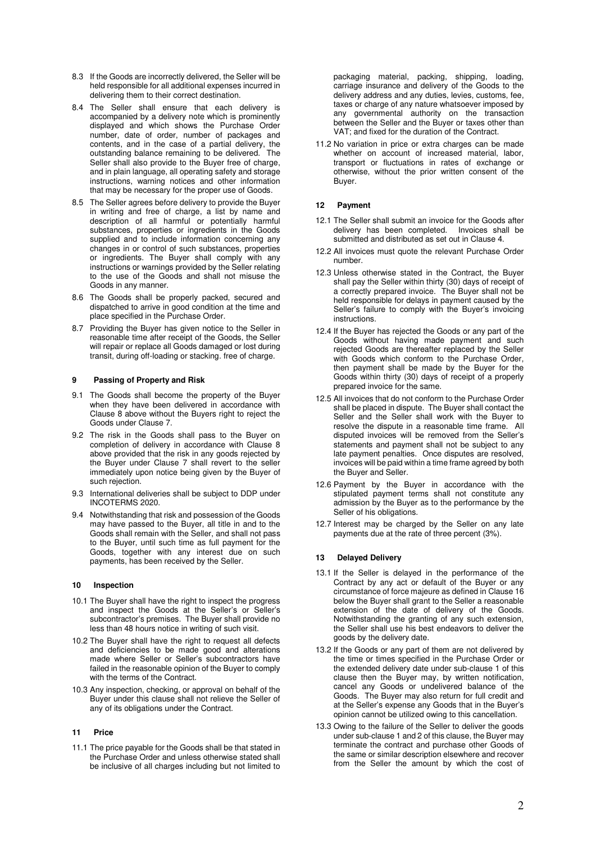- 8.3 If the Goods are incorrectly delivered, the Seller will be held responsible for all additional expenses incurred in delivering them to their correct destination.
- 8.4 The Seller shall ensure that each delivery is accompanied by a delivery note which is prominently displayed and which shows the Purchase Order number, date of order, number of packages and contents, and in the case of a partial delivery, the outstanding balance remaining to be delivered. The Seller shall also provide to the Buyer free of charge, and in plain language, all operating safety and storage instructions, warning notices and other information that may be necessary for the proper use of Goods.
- 8.5 The Seller agrees before delivery to provide the Buyer in writing and free of charge, a list by name and description of all harmful or potentially harmful substances, properties or ingredients in the Goods supplied and to include information concerning any changes in or control of such substances, properties or ingredients. The Buyer shall comply with any instructions or warnings provided by the Seller relating to the use of the Goods and shall not misuse the Goods in any manner.
- 8.6 The Goods shall be properly packed, secured and dispatched to arrive in good condition at the time and place specified in the Purchase Order.
- 8.7 Providing the Buyer has given notice to the Seller in reasonable time after receipt of the Goods, the Seller will repair or replace all Goods damaged or lost during transit, during off-loading or stacking. free of charge.

## **9 Passing of Property and Risk**

- 9.1 The Goods shall become the property of the Buyer when they have been delivered in accordance with Clause 8 above without the Buyers right to reject the Goods under Clause 7.
- 9.2 The risk in the Goods shall pass to the Buyer on completion of delivery in accordance with Clause 8 above provided that the risk in any goods rejected by the Buyer under Clause 7 shall revert to the seller immediately upon notice being given by the Buyer of such rejection.
- 9.3 International deliveries shall be subject to DDP under INCOTERMS 2020.
- 9.4 Notwithstanding that risk and possession of the Goods may have passed to the Buyer, all title in and to the Goods shall remain with the Seller, and shall not pass to the Buyer, until such time as full payment for the Goods, together with any interest due on such payments, has been received by the Seller.

### **10 Inspection**

- 10.1 The Buyer shall have the right to inspect the progress and inspect the Goods at the Seller's or Seller's subcontractor's premises. The Buyer shall provide no less than 48 hours notice in writing of such visit.
- 10.2 The Buyer shall have the right to request all defects and deficiencies to be made good and alterations made where Seller or Seller's subcontractors have failed in the reasonable opinion of the Buyer to comply with the terms of the Contract.
- 10.3 Any inspection, checking, or approval on behalf of the Buyer under this clause shall not relieve the Seller of any of its obligations under the Contract.

#### **11 Price**

11.1 The price payable for the Goods shall be that stated in the Purchase Order and unless otherwise stated shall be inclusive of all charges including but not limited to packaging material, packing, shipping, loading, carriage insurance and delivery of the Goods to the delivery address and any duties, levies, customs, fee, taxes or charge of any nature whatsoever imposed by any governmental authority on the transaction between the Seller and the Buyer or taxes other than VAT; and fixed for the duration of the Contract.

11.2 No variation in price or extra charges can be made whether on account of increased material, labor, transport or fluctuations in rates of exchange or otherwise, without the prior written consent of the Buyer.

#### **12 Payment**

- 12.1 The Seller shall submit an invoice for the Goods after delivery has been completed. Invoices shall be submitted and distributed as set out in Clause 4.
- 12.2 All invoices must quote the relevant Purchase Order number.
- 12.3 Unless otherwise stated in the Contract, the Buyer shall pay the Seller within thirty (30) days of receipt of a correctly prepared invoice. The Buyer shall not be held responsible for delays in payment caused by the Seller's failure to comply with the Buyer's invoicing instructions.
- 12.4 If the Buyer has rejected the Goods or any part of the Goods without having made payment and such rejected Goods are thereafter replaced by the Seller with Goods which conform to the Purchase Order, then payment shall be made by the Buyer for the Goods within thirty (30) days of receipt of a properly prepared invoice for the same.
- 12.5 All invoices that do not conform to the Purchase Order shall be placed in dispute. The Buyer shall contact the Seller and the Seller shall work with the Buyer to resolve the dispute in a reasonable time frame. All disputed invoices will be removed from the Seller's statements and payment shall not be subject to any late payment penalties. Once disputes are resolved, invoices will be paid within a time frame agreed by both the Buyer and Seller.
- 12.6 Payment by the Buyer in accordance with the stipulated payment terms shall not constitute any admission by the Buyer as to the performance by the Seller of his obligations.
- 12.7 Interest may be charged by the Seller on any late payments due at the rate of three percent (3%).

### **13 Delayed Delivery**

- 13.1 If the Seller is delayed in the performance of the Contract by any act or default of the Buyer or any circumstance of force majeure as defined in Clause 16 below the Buyer shall grant to the Seller a reasonable extension of the date of delivery of the Goods. Notwithstanding the granting of any such extension, the Seller shall use his best endeavors to deliver the goods by the delivery date.
- 13.2 If the Goods or any part of them are not delivered by the time or times specified in the Purchase Order or the extended delivery date under sub-clause 1 of this clause then the Buyer may, by written notification, cancel any Goods or undelivered balance of the Goods. The Buyer may also return for full credit and at the Seller's expense any Goods that in the Buyer's opinion cannot be utilized owing to this cancellation.
- 13.3 Owing to the failure of the Seller to deliver the goods under sub-clause 1 and 2 of this clause, the Buyer may terminate the contract and purchase other Goods of the same or similar description elsewhere and recover from the Seller the amount by which the cost of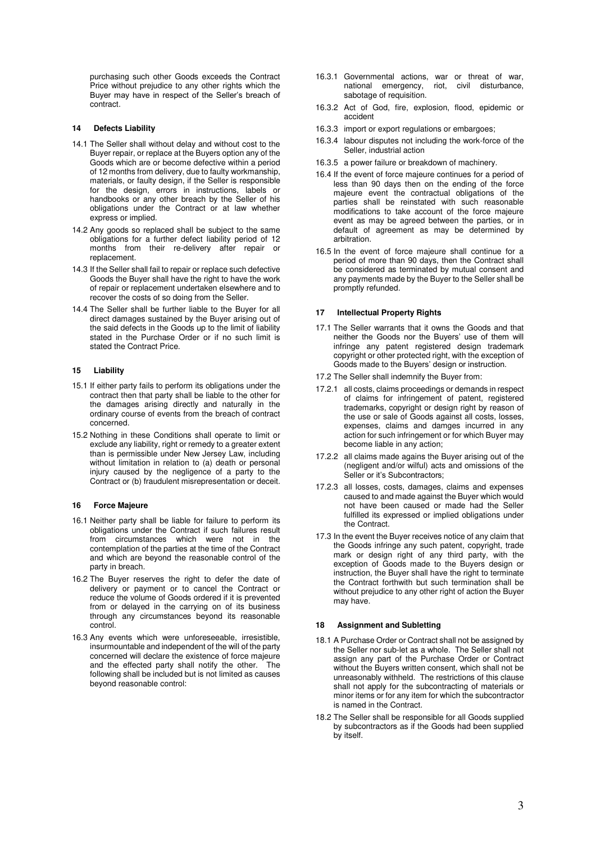purchasing such other Goods exceeds the Contract Price without prejudice to any other rights which the Buyer may have in respect of the Seller's breach of contract.

#### **14 Defects Liability**

- 14.1 The Seller shall without delay and without cost to the Buyer repair, or replace at the Buyers option any of the Goods which are or become defective within a period of 12 months from delivery, due to faulty workmanship, materials, or faulty design, if the Seller is responsible for the design, errors in instructions, labels or handbooks or any other breach by the Seller of his obligations under the Contract or at law whether express or implied.
- 14.2 Any goods so replaced shall be subject to the same obligations for a further defect liability period of 12 months from their re-delivery after repair or replacement.
- 14.3 If the Seller shall fail to repair or replace such defective Goods the Buyer shall have the right to have the work of repair or replacement undertaken elsewhere and to recover the costs of so doing from the Seller.
- 14.4 The Seller shall be further liable to the Buyer for all direct damages sustained by the Buyer arising out of the said defects in the Goods up to the limit of liability stated in the Purchase Order or if no such limit is stated the Contract Price.

### **15 Liability**

- 15.1 If either party fails to perform its obligations under the contract then that party shall be liable to the other for the damages arising directly and naturally in the ordinary course of events from the breach of contract concerned.
- 15.2 Nothing in these Conditions shall operate to limit or exclude any liability, right or remedy to a greater extent than is permissible under New Jersey Law, including without limitation in relation to (a) death or personal injury caused by the negligence of a party to the Contract or (b) fraudulent misrepresentation or deceit.

#### **16 Force Majeure**

- 16.1 Neither party shall be liable for failure to perform its obligations under the Contract if such failures result from circumstances which were not in the contemplation of the parties at the time of the Contract and which are beyond the reasonable control of the party in breach.
- 16.2 The Buyer reserves the right to defer the date of delivery or payment or to cancel the Contract or reduce the volume of Goods ordered if it is prevented from or delayed in the carrying on of its business through any circumstances beyond its reasonable control.
- 16.3 Any events which were unforeseeable, irresistible, insurmountable and independent of the will of the party concerned will declare the existence of force majeure and the effected party shall notify the other. The following shall be included but is not limited as causes beyond reasonable control:
- 16.3.1 Governmental actions, war or threat of war, national emergency, riot, civil disturbance, sabotage of requisition.
- 16.3.2 Act of God, fire, explosion, flood, epidemic or accident
- 16.3.3 import or export regulations or embargoes;
- 16.3.4 labour disputes not including the work-force of the Seller, industrial action
- 16.3.5 a power failure or breakdown of machinery.
- 16.4 If the event of force majeure continues for a period of less than 90 days then on the ending of the force majeure event the contractual obligations of the parties shall be reinstated with such reasonable modifications to take account of the force majeure event as may be agreed between the parties, or in default of agreement as may be determined by arbitration.
- 16.5 In the event of force majeure shall continue for a period of more than 90 days, then the Contract shall be considered as terminated by mutual consent and any payments made by the Buyer to the Seller shall be promptly refunded.

### **Intellectual Property Rights**

- 17.1 The Seller warrants that it owns the Goods and that neither the Goods nor the Buyers' use of them will infringe any patent registered design trademark copyright or other protected right, with the exception of Goods made to the Buyers' design or instruction.
- 17.2 The Seller shall indemnify the Buyer from:
- 17.2.1 all costs, claims proceedings or demands in respect of claims for infringement of patent, registered trademarks, copyright or design right by reason of the use or sale of Goods against all costs, losses, expenses, claims and damges incurred in any action for such infringement or for which Buyer may become liable in any action;
- 17.2.2 all claims made agains the Buyer arising out of the (negligent and/or wilful) acts and omissions of the Seller or it's Subcontractors;
- 17.2.3 all losses, costs, damages, claims and expenses caused to and made against the Buyer which would not have been caused or made had the Seller fulfilled its expressed or implied obligations under the Contract.
- 17.3 In the event the Buyer receives notice of any claim that the Goods infringe any such patent, copyright, trade mark or design right of any third party, with the exception of Goods made to the Buyers design or instruction, the Buyer shall have the right to terminate the Contract forthwith but such termination shall be without prejudice to any other right of action the Buyer may have.

### **18 Assignment and Subletting**

- 18.1 A Purchase Order or Contract shall not be assigned by the Seller nor sub-let as a whole. The Seller shall not assign any part of the Purchase Order or Contract without the Buyers written consent, which shall not be unreasonably withheld. The restrictions of this clause shall not apply for the subcontracting of materials or minor items or for any item for which the subcontractor is named in the Contract.
- 18.2 The Seller shall be responsible for all Goods supplied by subcontractors as if the Goods had been supplied by itself.